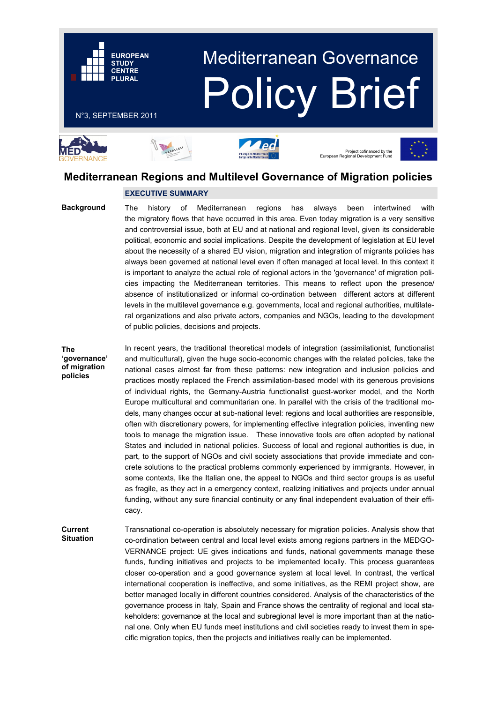# Mediterranean Governance Policy Brief

### N°3, SEPTEMBER 2011

**EUROPEAN STUDY CENTRE PLURAL**











# **Mediterranean Regions and Multilevel Governance of Migration policies**

## **EXECUTIVE SUMMARY**

**Background**

The history of Mediterranean regions has always been intertwined with the migratory flows that have occurred in this area. Even today migration is a very sensitive and controversial issue, both at EU and at national and regional level, given its considerable political, economic and social implications. Despite the development of legislation at EU level about the necessity of a shared EU vision, migration and integration of migrants policies has always been governed at national level even if often managed at local level. In this context it is important to analyze the actual role of regional actors in the 'governance' of migration policies impacting the Mediterranean territories. This means to reflect upon the presence/ absence of institutionalized or informal co-ordination between different actors at different levels in the multilevel governance e.g. governments, local and regional authorities, multilateral organizations and also private actors, companies and NGOs, leading to the development of public policies, decisions and projects.

**The 'governance' of migration policies**

In recent years, the traditional theoretical models of integration (assimilationist, functionalist and multicultural), given the huge socio-economic changes with the related policies, take the national cases almost far from these patterns: new integration and inclusion policies and practices mostly replaced the French assimilation-based model with its generous provisions of individual rights, the Germany-Austria functionalist guest-worker model, and the North Europe multicultural and communitarian one. In parallel with the crisis of the traditional models, many changes occur at sub-national level: regions and local authorities are responsible, often with discretionary powers, for implementing effective integration policies, inventing new tools to manage the migration issue. These innovative tools are often adopted by national States and included in national policies. Success of local and regional authorities is due, in part, to the support of NGOs and civil society associations that provide immediate and concrete solutions to the practical problems commonly experienced by immigrants. However, in some contexts, like the Italian one, the appeal to NGOs and third sector groups is as useful as fragile, as they act in a emergency context, realizing initiatives and projects under annual funding, without any sure financial continuity or any final independent evaluation of their efficacy.

Transnational co-operation is absolutely necessary for migration policies. Analysis show that co-ordination between central and local level exists among regions partners in the MEDGO-VERNANCE project: UE gives indications and funds, national governments manage these funds, funding initiatives and projects to be implemented locally. This process guarantees closer co-operation and a good governance system at local level. In contrast, the vertical international cooperation is ineffective, and some initiatives, as the REMI project show, are better managed locally in different countries considered. Analysis of the characteristics of the governance process in Italy, Spain and France shows the centrality of regional and local stakeholders: governance at the local and subregional level is more important than at the national one. Only when EU funds meet institutions and civil societies ready to invest them in specific migration topics, then the projects and initiatives really can be implemented. **Current Situation**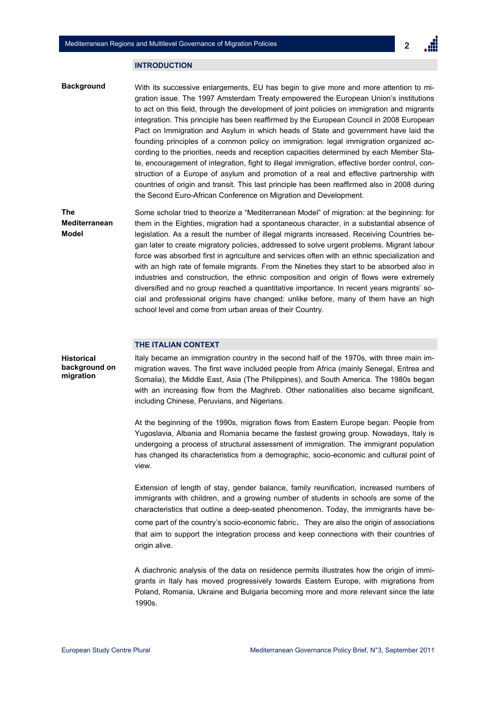#### **INTRODUCTION**

**Background** With its successive enlargements, EU has begin to give more and more attention to migration issue. The 1997 Amsterdam Treaty empowered the European Union's institutions to act on this field, through the development of joint policies on immigration and migrants integration. This principle has been reaffirmed by the European Council in 2008 European Pact on Immigration and Asylum in which heads of State and government have laid the founding principles of a common policy on immigration: legal immigration organized according to the priorities, needs and reception capacities determined by each Member State, encouragement of integration, fight to illegal immigration, effective border control, construction of a Europe of asylum and promotion of a real and effective partnership with countries of origin and transit. This last principle has been reaffirmed also in 2008 during the Second Euro-African Conference on Migration and Development.

**The Mediterranean Model** Some scholar tried to theorize a "Mediterranean Model" of migration: at the beginning: for them in the Eighties, migration had a spontaneous character, in a substantial absence of legislation. As a result the number of illegal migrants increased. Receiving Countries began later to create migratory policies, addressed to solve urgent problems. Migrant labour force was absorbed first in agriculture and services often with an ethnic specialization and with an high rate of female migrants. From the Nineties they start to be absorbed also in industries and construction, the ethnic composition and origin of flows were extremely diversified and no group reached a quantitative importance. In recent years migrants' social and professional origins have changed: unlike before, many of them have an high school level and come from urban areas of their Country.

#### **THE ITALIAN CONTEXT**

Italy became an immigration country in the second half of the 1970s, with three main immigration waves. The first wave included people from Africa (mainly Senegal, Eritrea and Somalia), the Middle East, Asia (The Philippines), and South America. The 1980s began with an increasing flow from the Maghreb. Other nationalities also became significant, including Chinese, Peruvians, and Nigerians. **background on** 

> At the beginning of the 1990s, migration flows from Eastern Europe began. People from Yugoslavia, Albania and Romania became the fastest growing group. Nowadays, Italy is undergoing a process of structural assessment of immigration. The immigrant population has changed its characteristics from a demographic, socio-economic and cultural point of view.

> Extension of length of stay, gender balance, family reunification, increased numbers of immigrants with children, and a growing number of students in schools are some of the characteristics that outline a deep-seated phenomenon. Today, the immigrants have become part of the country's socio-economic fabric. They are also the origin of associations that aim to support the integration process and keep connections with their countries of origin alive.

> A diachronic analysis of the data on residence permits illustrates how the origin of immigrants in Italy has moved progressively towards Eastern Europe, with migrations from Poland, Romania, Ukraine and Bulgaria becoming more and more relevant since the late 1990s.

**Historical** 

**migration**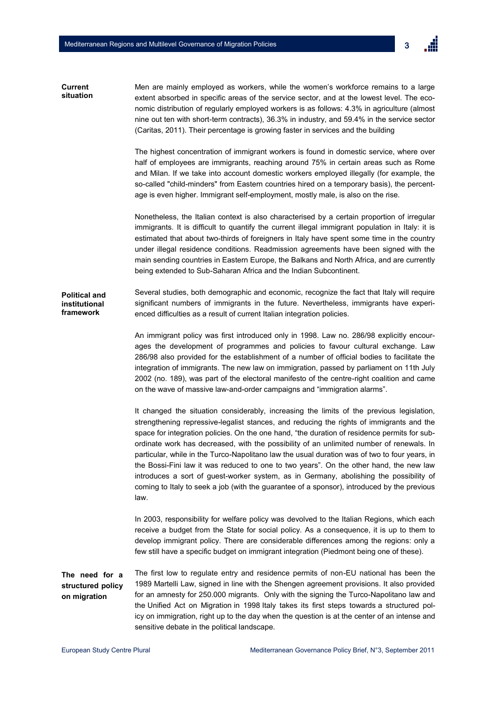

Men are mainly employed as workers, while the women's workforce remains to a large extent absorbed in specific areas of the service sector, and at the lowest level. The economic distribution of regularly employed workers is as follows: 4.3% in agriculture (almost nine out ten with short-term contracts), 36.3% in industry, and 59.4% in the service sector (Caritas, 2011). Their percentage is growing faster in services and the building **Current situation**

> The highest concentration of immigrant workers is found in domestic service, where over half of employees are immigrants, reaching around 75% in certain areas such as Rome and Milan. If we take into account domestic workers employed illegally (for example, the so-called "child-minders" from Eastern countries hired on a temporary basis), the percentage is even higher. Immigrant self-employment, mostly male, is also on the rise.

> Nonetheless, the Italian context is also characterised by a certain proportion of irregular immigrants. It is difficult to quantify the current illegal immigrant population in Italy: it is estimated that about two-thirds of foreigners in Italy have spent some time in the country under illegal residence conditions. Readmission agreements have been signed with the main sending countries in Eastern Europe, the Balkans and North Africa, and are currently being extended to Sub-Saharan Africa and the Indian Subcontinent.

Several studies, both demographic and economic, recognize the fact that Italy will require significant numbers of immigrants in the future. Nevertheless, immigrants have experienced difficulties as a result of current Italian integration policies. **Political and institutional framework**

> An immigrant policy was first introduced only in 1998. Law no. 286/98 explicitly encourages the development of programmes and policies to favour cultural exchange. Law 286/98 also provided for the establishment of a number of official bodies to facilitate the integration of immigrants. The new law on immigration, passed by parliament on 11th July 2002 (no. 189), was part of the electoral manifesto of the centre-right coalition and came on the wave of massive law-and-order campaigns and "immigration alarms".

> It changed the situation considerably, increasing the limits of the previous legislation, strengthening repressive-legalist stances, and reducing the rights of immigrants and the space for integration policies. On the one hand, "the duration of residence permits for subordinate work has decreased, with the possibility of an unlimited number of renewals. In particular, while in the Turco-Napolitano law the usual duration was of two to four years, in the Bossi-Fini law it was reduced to one to two years". On the other hand, the new law introduces a sort of guest-worker system, as in Germany, abolishing the possibility of coming to Italy to seek a job (with the guarantee of a sponsor), introduced by the previous law.

> In 2003, responsibility for welfare policy was devolved to the Italian Regions, which each receive a budget from the State for social policy. As a consequence, it is up to them to develop immigrant policy. There are considerable differences among the regions: only a few still have a specific budget on immigrant integration (Piedmont being one of these).

The first low to regulate entry and residence permits of non-EU national has been the 1989 Martelli Law, signed in line with the Shengen agreement provisions. It also provided for an amnesty for 250.000 migrants. Only with the signing the Turco-Napolitano law and the Unified Act on Migration in 1998 Italy takes its first steps towards a structured policy on immigration, right up to the day when the question is at the center of an intense and sensitive debate in the political landscape. **The need for a structured policy on migration**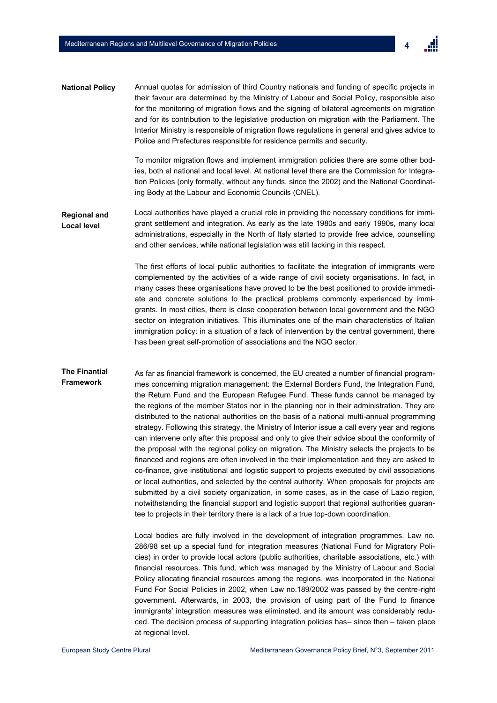4

Annual quotas for admission of third Country nationals and funding of specific projects in their favour are determined by the Ministry of Labour and Social Policy, responsible also for the monitoring of migration flows and the signing of bilateral agreements on migration and for its contribution to the legislative production on migration with the Parliament. The Interior Ministry is responsible of migration flows regulations in general and gives advice to Police and Prefectures responsible for residence permits and security. **National Policy**

> To monitor migration flows and implement immigration policies there are some other bodies, both al national and local level. At national level there are the Commission for Integration Policies (only formally, without any funds, since the 2002) and the National Coordinating Body at the Labour and Economic Councils (CNEL).

**Regional and Local level** Local authorities have played a crucial role in providing the necessary conditions for immigrant settlement and integration. As early as the late 1980s and early 1990s, many local administrations, especially in the North of Italy started to provide free advice, counselling and other services, while national legislation was still lacking in this respect.

> The first efforts of local public authorities to facilitate the integration of immigrants were complemented by the activities of a wide range of civil society organisations. In fact, in many cases these organisations have proved to be the best positioned to provide immediate and concrete solutions to the practical problems commonly experienced by immigrants. In most cities, there is close cooperation between local government and the NGO sector on integration initiatives. This illuminates one of the main characteristics of Italian immigration policy: in a situation of a lack of intervention by the central government, there has been great self-promotion of associations and the NGO sector.

**The Finantial Framework** As far as financial framework is concerned, the EU created a number of financial programmes concerning migration management: the External Borders Fund, the Integration Fund, the Return Fund and the European Refugee Fund. These funds cannot be managed by the regions of the member States nor in the planning nor in their administration. They are distributed to the national authorities on the basis of a national multi-annual programming strategy. Following this strategy, the Ministry of Interior issue a call every year and regions can intervene only after this proposal and only to give their advice about the conformity of the proposal with the regional policy on migration. The Ministry selects the projects to be financed and regions are often involved in the their implementation and they are asked to co-finance, give institutional and logistic support to projects executed by civil associations or local authorities, and selected by the central authority. When proposals for projects are submitted by a civil society organization, in some cases, as in the case of Lazio region, notwithstanding the financial support and logistic support that regional authorities guarantee to projects in their territory there is a lack of a true top-down coordination.

> Local bodies are fully involved in the development of integration programmes. Law no. 286/98 set up a special fund for integration measures (National Fund for Migratory Policies) in order to provide local actors (public authorities, charitable associations, etc.) with financial resources. This fund, which was managed by the Ministry of Labour and Social Policy allocating financial resources among the regions, was incorporated in the National Fund For Social Policies in 2002, when Law no.189/2002 was passed by the centre-right government. Afterwards, in 2003, the provision of using part of the Fund to finance immigrants' integration measures was eliminated, and its amount was considerably reduced. The decision process of supporting integration policies has– since then – taken place at regional level.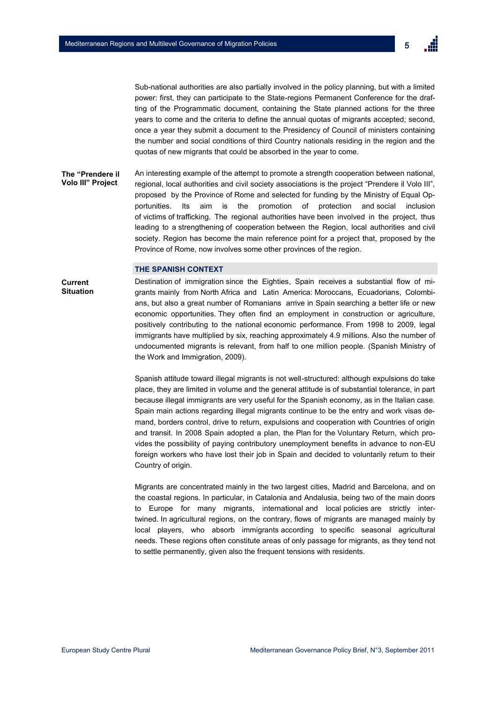Sub-national authorities are also partially involved in the policy planning, but with a limited power: first, they can participate to the State-regions Permanent Conference for the drafting of the Programmatic document, containing the State planned actions for the three years to come and the criteria to define the annual quotas of migrants accepted; second, once a year they submit a document to the Presidency of Council of ministers containing the number and social conditions of third Country nationals residing in the region and the quotas of new migrants that could be absorbed in the year to come.

An interesting example of the attempt to promote a strength cooperation between national, regional, local authorities and civil society associations is the project "Prendere il Volo III", proposed by the Province of Rome and selected for funding by the Ministry of Equal Opportunities. Its aim is the promotion of protection and social inclusion of victims of trafficking. The regional authorities have been involved in the project, thus leading to a strengthening of cooperation between the Region, local authorities and civil society. Region has become the main reference point for a project that, proposed by the Province of Rome, now involves some other provinces of the region. **The "Prendere il Volo III" Project**

#### **THE SPANISH CONTEXT**

**Current Situation**

Destination of immigration since the Eighties, Spain receives a substantial flow of migrants mainly from North Africa and Latin America: Moroccans, Ecuadorians, Colombians, but also a great number of Romanians arrive in Spain searching a better life or new economic opportunities. They often find an employment in construction or agriculture, positively contributing to the national economic performance. From 1998 to 2009, legal immigrants have multiplied by six, reaching approximately 4.9 millions. Also the number of undocumented migrants is relevant, from half to one million people. (Spanish Ministry of the Work and Immigration, 2009).

Spanish attitude toward illegal migrants is not well-structured: although expulsions do take place, they are limited in volume and the general attitude is of substantial tolerance, in part because illegal immigrants are very useful for the Spanish economy, as in the Italian case. Spain main actions regarding illegal migrants continue to be the entry and work visas demand, borders control, drive to return, expulsions and cooperation with Countries of origin and transit. In 2008 Spain adopted a plan, the Plan for the Voluntary Return, which provides the possibility of paying contributory unemployment benefits in advance to non-EU foreign workers who have lost their job in Spain and decided to voluntarily return to their Country of origin.

Migrants are concentrated mainly in the two largest cities, Madrid and Barcelona, and on the coastal regions. In particular, in Catalonia and Andalusia, being two of the main doors to Europe for many migrants, international and local policies are strictly intertwined. In agricultural regions, on the contrary, flows of migrants are managed mainly by local players, who absorb immigrants according to specific seasonal agricultural needs. These regions often constitute areas of only passage for migrants, as they tend not to settle permanently, given also the frequent tensions with residents.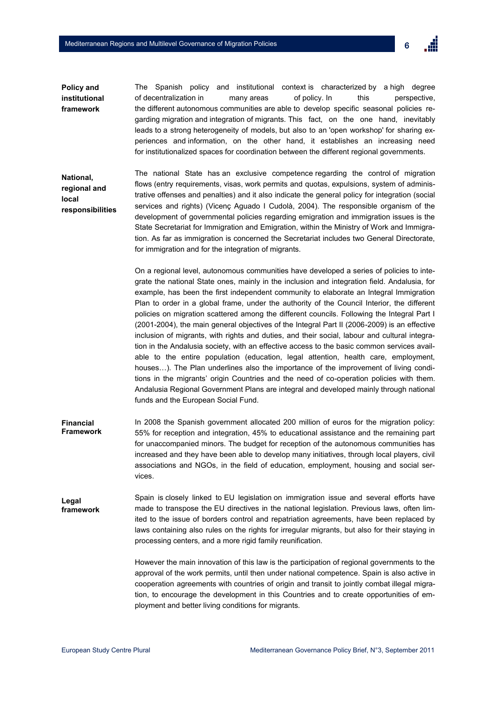

The Spanish policy and institutional context is characterized by a high degree of decentralization in many areas of policy. In this perspective, the different autonomous communities are able to develop specific seasonal policies regarding migration and integration of migrants. This fact, on the one hand, inevitably leads to a strong heterogeneity of models, but also to an 'open workshop' for sharing experiences and information, on the other hand, it establishes an increasing need for institutionalized spaces for coordination between the different regional governments. **Policy and institutional framework**

The national State has an exclusive competence regarding the control of migration flows (entry requirements, visas, work permits and quotas, expulsions, system of administrative offenses and penalties) and it also indicate the general policy for integration (social services and rights) (Vicenç Aguado I Cudolà, 2004). The responsible organism of the development of governmental policies regarding emigration and immigration issues is the State Secretariat for Immigration and Emigration, within the Ministry of Work and Immigration. As far as immigration is concerned the Secretariat includes two General Directorate, for immigration and for the integration of migrants. **National, regional and local responsibilities** 

> On a regional level, autonomous communities have developed a series of policies to integrate the national State ones, mainly in the inclusion and integration field. Andalusia, for example, has been the first independent community to elaborate an Integral Immigration Plan to order in a global frame, under the authority of the Council Interior, the different policies on migration scattered among the different councils. Following the Integral Part I (2001-2004), the main general objectives of the Integral Part II (2006-2009) is an effective inclusion of migrants, with rights and duties, and their social, labour and cultural integration in the Andalusia society, with an effective access to the basic common services available to the entire population (education, legal attention, health care, employment, houses...). The Plan underlines also the importance of the improvement of living conditions in the migrants' origin Countries and the need of co-operation policies with them. Andalusia Regional Government Plans are integral and developed mainly through national funds and the European Social Fund.

- In 2008 the Spanish government allocated 200 million of euros for the migration policy: 55% for reception and integration, 45% to educational assistance and the remaining part for unaccompanied minors. The budget for reception of the autonomous communities has increased and they have been able to develop many initiatives, through local players, civil associations and NGOs, in the field of education, employment, housing and social services. **Financial Framework**
- Spain is closely linked to EU legislation on immigration issue and several efforts have made to transpose the EU directives in the national legislation. Previous laws, often limited to the issue of borders control and repatriation agreements, have been replaced by laws containing also rules on the rights for irregular migrants, but also for their staying in processing centers, and a more rigid family reunification. **Legal framework**

However the main innovation of this law is the participation of regional governments to the approval of the work permits, until then under national competence. Spain is also active in cooperation agreements with countries of origin and transit to jointly combat illegal migration, to encourage the development in this Countries and to create opportunities of employment and better living conditions for migrants.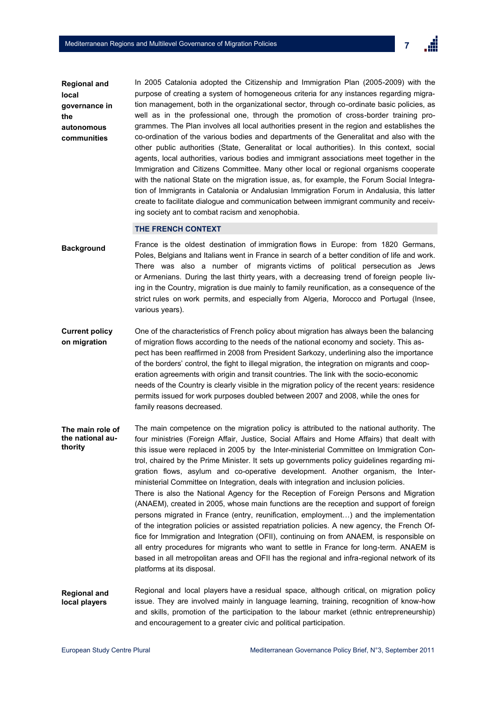

**Regional and local governance in the autonomous communities** 

In 2005 Catalonia adopted the Citizenship and Immigration Plan (2005-2009) with the purpose of creating a system of homogeneous criteria for any instances regarding migration management, both in the organizational sector, through co-ordinate basic policies, as well as in the professional one, through the promotion of cross-border training programmes. The Plan involves all local authorities present in the region and establishes the co-ordination of the various bodies and departments of the Generalitat and also with the other public authorities (State, Generalitat or local authorities). In this context, social agents, local authorities, various bodies and immigrant associations meet together in the Immigration and Citizens Committee. Many other local or regional organisms cooperate with the national State on the migration issue, as, for example, the Forum Social Integration of Immigrants in Catalonia or Andalusian Immigration Forum in Andalusia, this latter create to facilitate dialogue and communication between immigrant community and receiving society ant to combat racism and xenophobia.

#### **THE FRENCH CONTEXT**

- France is the oldest destination of immigration flows in Europe: from 1820 Germans, Poles, Belgians and Italians went in France in search of a better condition of life and work. There was also a number of migrants victims of political persecution as Jews or Armenians. During the last thirty years, with a decreasing trend of foreign people living in the Country, migration is due mainly to family reunification, as a consequence of the strict rules on work permits, and especially from Algeria, Morocco and Portugal (Insee, various years). **Background**
- One of the characteristics of French policy about migration has always been the balancing of migration flows according to the needs of the national economy and society. This aspect has been reaffirmed in 2008 from President Sarkozy, underlining also the importance of the borders' control, the fight to illegal migration, the integration on migrants and cooperation agreements with origin and transit countries. The link with the socio-economic needs of the Country is clearly visible in the migration policy of the recent years: residence permits issued for work purposes doubled between 2007 and 2008, while the ones for family reasons decreased. **Current policy on migration**
- The main competence on the migration policy is attributed to the national authority. The four ministries (Foreign Affair, Justice, Social Affairs and Home Affairs) that dealt with this issue were replaced in 2005 by the Inter-ministerial Committee on Immigration Control, chaired by the Prime Minister. It sets up governments policy guidelines regarding migration flows, asylum and co-operative development. Another organism, the Interministerial Committee on Integration, deals with integration and inclusion policies. There is also the National Agency for the Reception of Foreign Persons and Migration (ANAEM), created in 2005, whose main functions are the reception and support of foreign persons migrated in France (entry, reunification, employment…) and the implementation of the integration policies or assisted repatriation policies. A new agency, the French Office for Immigration and Integration (OFII), continuing on from ANAEM, is responsible on all entry procedures for migrants who want to settle in France for long-term. ANAEM is based in all metropolitan areas and OFII has the regional and infra-regional network of its platforms at its disposal. **The main role of the national authority**
- Regional and local players have a residual space, although critical, on migration policy issue. They are involved mainly in language learning, training, recognition of know-how and skills, promotion of the participation to the labour market (ethnic entrepreneurship) and encouragement to a greater civic and political participation. **Regional and local players**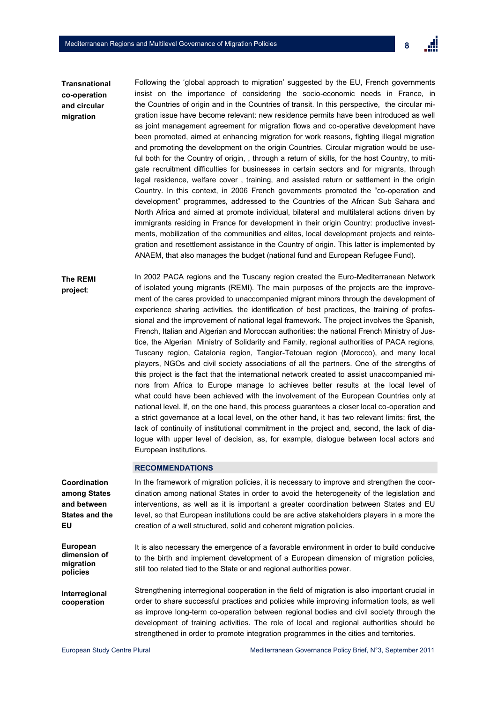

Following the 'global approach to migration' suggested by the EU, French governments insist on the importance of considering the socio-economic needs in France, in the Countries of origin and in the Countries of transit. In this perspective, the circular migration issue have become relevant: new residence permits have been introduced as well as joint management agreement for migration flows and co-operative development have been promoted, aimed at enhancing migration for work reasons, fighting illegal migration and promoting the development on the origin Countries. Circular migration would be useful both for the Country of origin, , through a return of skills, for the host Country, to mitigate recruitment difficulties for businesses in certain sectors and for migrants, through legal residence, welfare cover , training, and assisted return or settlement in the origin Country. In this context, in 2006 French governments promoted the "co-operation and development" programmes, addressed to the Countries of the African Sub Sahara and North Africa and aimed at promote individual, bilateral and multilateral actions driven by immigrants residing in France for development in their origin Country: productive investments, mobilization of the communities and elites, local development projects and reintegration and resettlement assistance in the Country of origin. This latter is implemented by ANAEM, that also manages the budget (national fund and European Refugee Fund). **Transnational co-operation and circular migration**

In 2002 PACA regions and the Tuscany region created the Euro-Mediterranean Network of isolated young migrants (REMI). The main purposes of the projects are the improvement of the cares provided to unaccompanied migrant minors through the development of experience sharing activities, the identification of best practices, the training of professional and the improvement of national legal framework. The project involves the Spanish, French, Italian and Algerian and Moroccan authorities: the national French Ministry of Justice, the Algerian Ministry of Solidarity and Family, regional authorities of PACA regions, Tuscany region, Catalonia region, Tangier-Tetouan region (Morocco), and many local players, NGOs and civil society associations of all the partners. One of the strengths of this project is the fact that the international network created to assist unaccompanied minors from Africa to Europe manage to achieves better results at the local level of what could have been achieved with the involvement of the European Countries only at national level. If, on the one hand, this process guarantees a closer local co-operation and a strict governance at a local level, on the other hand, it has two relevant limits: first, the lack of continuity of institutional commitment in the project and, second, the lack of dialogue with upper level of decision, as, for example, dialogue between local actors and European institutions. **The REMI project**:

#### **RECOMMENDATIONS**

| Coordination                                      | In the framework of migration policies, it is necessary to improve and strengthen the coor-                                                                                                                                                                                                                                                                                                                                                                                    |
|---------------------------------------------------|--------------------------------------------------------------------------------------------------------------------------------------------------------------------------------------------------------------------------------------------------------------------------------------------------------------------------------------------------------------------------------------------------------------------------------------------------------------------------------|
| among States                                      | dination among national States in order to avoid the heterogeneity of the legislation and                                                                                                                                                                                                                                                                                                                                                                                      |
| and between                                       | interventions, as well as it is important a greater coordination between States and EU                                                                                                                                                                                                                                                                                                                                                                                         |
| <b>States and the</b>                             | level, so that European institutions could be are active stakeholders players in a more the                                                                                                                                                                                                                                                                                                                                                                                    |
| EU                                                | creation of a well structured, solid and coherent migration policies.                                                                                                                                                                                                                                                                                                                                                                                                          |
| European<br>dimension of<br>migration<br>policies | It is also necessary the emergence of a favorable environment in order to build conducive<br>to the birth and implement development of a European dimension of migration policies,<br>still too related tied to the State or and regional authorities power.                                                                                                                                                                                                                   |
| Interregional<br>cooperation                      | Strengthening interregional cooperation in the field of migration is also important crucial in<br>order to share successful practices and policies while improving information tools, as well<br>as improve long-term co-operation between regional bodies and civil society through the<br>development of training activities. The role of local and regional authorities should be<br>strengthened in order to promote integration programmes in the cities and territories. |